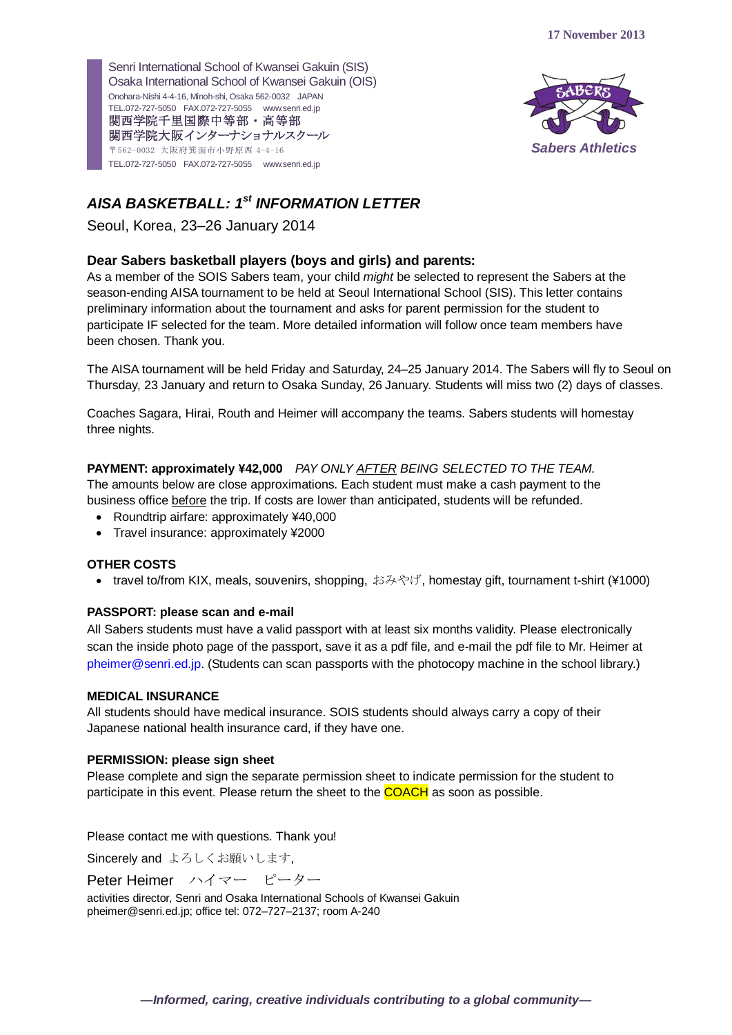

# *AISA BASKETBALL: 1st INFORMATION LETTER*

Seoul, Korea, 23–26 January 2014

# **Dear Sabers basketball players (boys and girls) and parents:**

As a member of the SOIS Sabers team, your child *might* be selected to represent the Sabers at the season-ending AISA tournament to be held at Seoul International School (SIS). This letter contains preliminary information about the tournament and asks for parent permission for the student to participate IF selected for the team. More detailed information will follow once team members have been chosen. Thank you.

The AISA tournament will be held Friday and Saturday, 24–25 January 2014. The Sabers will fly to Seoul on Thursday, 23 January and return to Osaka Sunday, 26 January. Students will miss two (2) days of classes.

Coaches Sagara, Hirai, Routh and Heimer will accompany the teams. Sabers students will homestay three nights.

# **PAYMENT: approximately ¥42,000** *PAY ONLY AFTER BEING SELECTED TO THE TEAM.*

The amounts below are close approximations. Each student must make a cash payment to the business office before the trip. If costs are lower than anticipated, students will be refunded.

- Roundtrip airfare: approximately ¥40,000
- Travel insurance: approximately ¥2000

## **OTHER COSTS**

• travel to/from KIX, meals, souvenirs, shopping, おみやげ, homestay gift, tournament t-shirt (¥1000)

# **PASSPORT: please scan and e-mail**

All Sabers students must have a valid passport with at least six months validity. Please electronically scan the inside photo page of the passport, save it as a pdf file, and e-mail the pdf file to Mr. Heimer at [pheimer@senri.ed.jp.](mailto:pheimer@senri.ed.jp) (Students can scan passports with the photocopy machine in the school library.)

## **MEDICAL INSURANCE**

All students should have medical insurance. SOIS students should always carry a copy of their Japanese national health insurance card, if they have one.

## **PERMISSION: please sign sheet**

Please complete and sign the separate permission sheet to indicate permission for the student to participate in this event. Please return the sheet to the **COACH** as soon as possible.

Please contact me with questions. Thank you!

Sincerely and よろしくお願いします,

Peter Heimer ハイマー ピーター

activities director, Senri and Osaka International Schools of Kwansei Gakuin [pheimer@senri.ed.jp;](mailto:sparker@senri.ed.jp) office tel: 072–727–2137; room A-240

*—Informed, caring, creative individuals contributing to a global community—*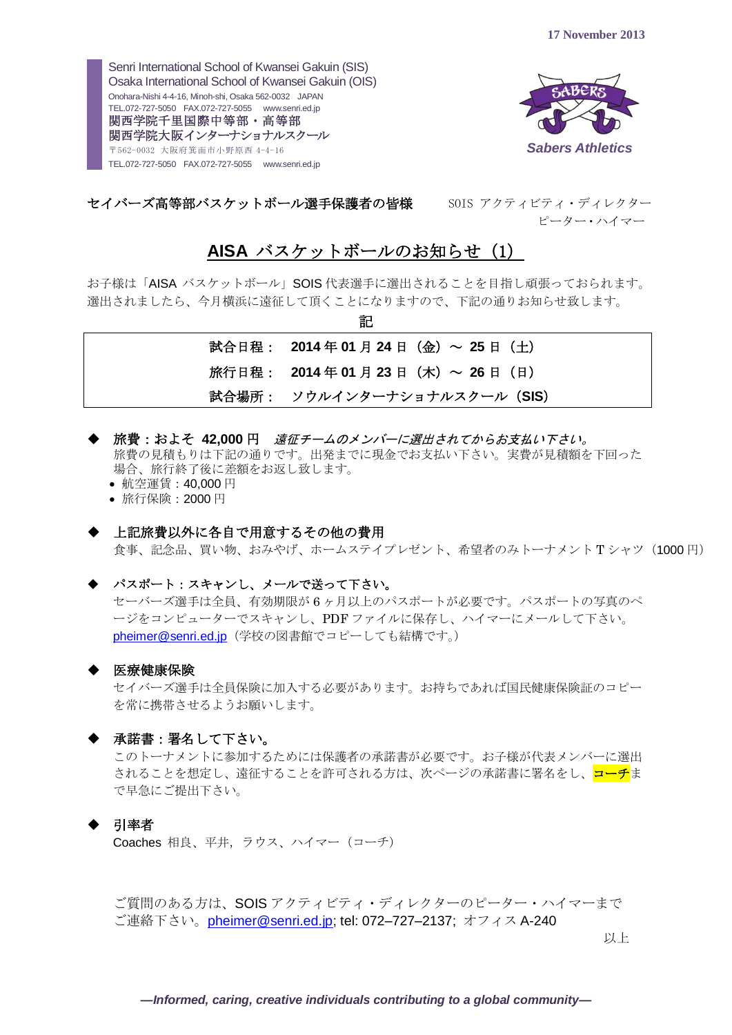

セイバーズ高等部バスケットボール選手保護者の皆様 SOIS アクティビティ・ディレクター

ピーター・ハイマー

# **AISA** バスケットボールのお知らせ (1)

お子様は「AISA バスケットボール」SOIS 代表選手に選出されることを目指し頑張っておられます。 選出されましたら、今月横浜に遠征して頂くことになりますので、下記の通りお知らせ致します。 記

| ᄟ                                    |
|--------------------------------------|
| 試合日程: 2014年01月24日 (金) ~ 25日 (土)      |
| 旅行日程: 2014年 01 月 23 日 (木) ~ 26 日 (日) |
| 試合場所: ソウルインターナショナルスクール (SIS)         |

- **▶ 旅費:およそ 42,000 円** *遠征チームのメンバーに選出されてからお支払い下さい。* 旅費の見積もりは下記の通りです。出発までに現金でお支払い下さい。実費が見積額を下回った 場合、旅行終了後に差額をお返し致します。
	- 航空運賃: 40,000円
	- 旅行保険:2000 円

#### ◆ 上記旅費以外に各自で用意するその他の費用

食事、記念品、買い物、おみやげ、ホームステイプレゼント、希望者のみトーナメントTシャツ (1000円)

#### パスポート:スキャンし、メールで送って下さい。

セーバーズ選手は全員、有効期限が 6 ヶ月以上のパスポートが必要です。パスポートの写真のペ ージをコンピューターでスキャンし、PDF ファイルに保存し、ハイマーにメールして下さい。 [pheimer@senri.ed.jp](mailto:pheimer@senri.ed.jp) (学校の図書館でコピーしても結構です。)

#### ◆ 医療健康保険

セイバーズ選手は全員保険に加入する必要があります。お持ちであれば国民健康保険証のコピー を常に携帯させるようお願いします。

#### ◆ 承諾書:署名して下さい。

このトーナメントに参加するためには保護者の承諾書が必要です。お子様が代表メンバーに選出 されることを想定し、遠征することを許可される方は、次ページの承諾書に署名をし、<mark>コーチ</mark>ま で早急にご提出下さい。

#### 引率者

Coaches 相良、平井,ラウス、ハイマー(コーチ)

ご質問のある方は、SOIS アクティビティ・ディレクターのピーター・ハイマーまで ご連絡下さい。[pheimer@senri.ed.jp;](mailto:pheimer@senri.ed.jp) tel: 072–727–2137; オフィス A-240

以上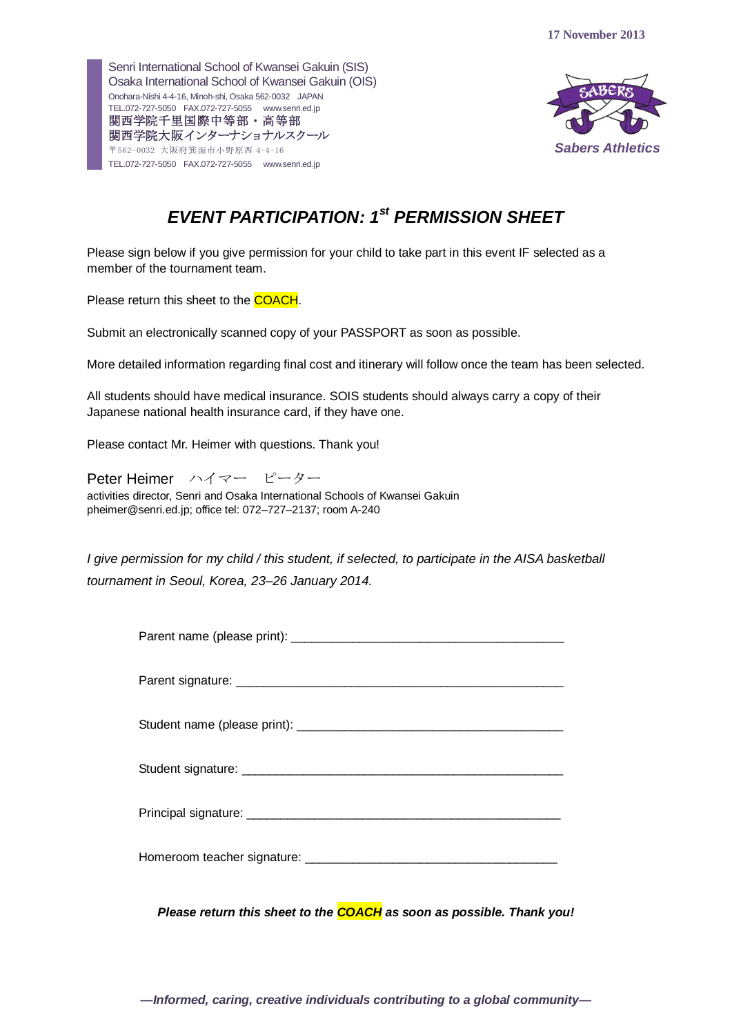

# *EVENT PARTICIPATION: 1 st PERMISSION SHEET*

Please sign below if you give permission for your child to take part in this event IF selected as a member of the tournament team.

Please return this sheet to the **COACH**.

Submit an electronically scanned copy of your PASSPORT as soon as possible.

More detailed information regarding final cost and itinerary will follow once the team has been selected.

All students should have medical insurance. SOIS students should always carry a copy of their Japanese national health insurance card, if they have one.

Please contact Mr. Heimer with questions. Thank you!

Peter Heimer ハイマー ピーター activities director, Senri and Osaka International Schools of Kwansei Gakuin [pheimer@senri.ed.jp;](mailto:sparker@senri.ed.jp) office tel: 072–727–2137; room A-240

*I give permission for my child / this student, if selected, to participate in the AISA basketball tournament in Seoul, Korea, 23–26 January 2014.*

| the control of the control of the |
|-----------------------------------|

*Please return this sheet to the COACH as soon as possible. Thank you!*

*—Informed, caring, creative individuals contributing to a global community—*